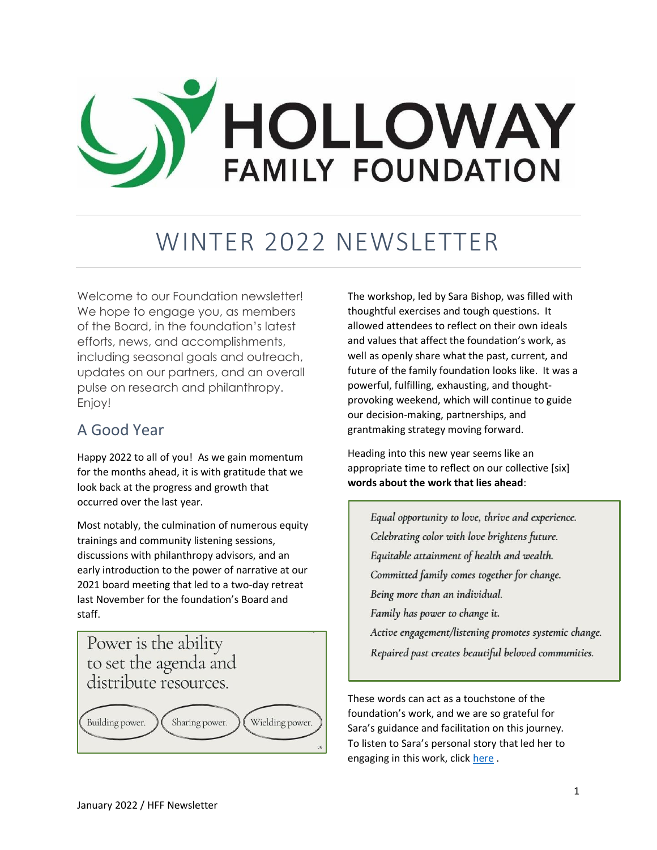# HOLLOWAY **FAMILY FOUNDATION**

# WINTER 2022 NEWSLETTER

Welcome to our Foundation newsletter! We hope to engage you, as members of the Board, in the foundation's latest efforts, news, and accomplishments, including seasonal goals and outreach, updates on our partners, and an overall pulse on research and philanthropy. Enjoy!

### A Good Year

Happy 2022 to all of you! As we gain momentum for the months ahead, it is with gratitude that we look back at the progress and growth that occurred over the last year.

Most notably, the culmination of numerous equity trainings and community listening sessions, discussions with philanthropy advisors, and an early introduction to the power of narrative at our 2021 board meeting that led to a two-day retreat last November for the foundation's Board and staff.

## Power is the ability to set the agenda and distribute resources.



The workshop, led by Sara Bishop, was filled with thoughtful exercises and tough questions. It allowed attendees to reflect on their own ideals and values that affect the foundation's work, as well as openly share what the past, current, and future of the family foundation looks like. It was a powerful, fulfilling, exhausting, and thoughtprovoking weekend, which will continue to guide our decision-making, partnerships, and grantmaking strategy moving forward.

Heading into this new year seems like an appropriate time to reflect on our collective [six] **words about the work that lies ahead**:

Equal opportunity to love, thrive and experience. Celebrating color with love brightens future. Equitable attainment of health and wealth. Committed family comes together for change. Being more than an individual. Family has power to change it. Active engagement/listening promotes systemic change.

Repaired past creates beautiful beloved communities.

These words can act as a touchstone of the foundation's work, and we are so grateful for Sara's guidance and facilitation on this journey. To listen to Sara's personal story that led her to engaging in this work, clic[k here](https://www.youtube.com/watch?v=acRKExPhZXI) .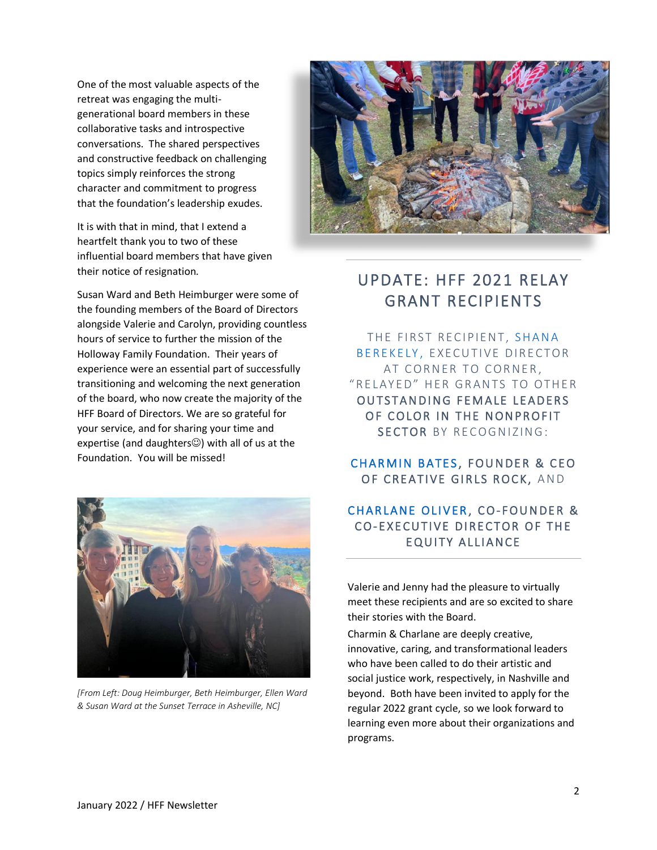One of the most valuable aspects of the retreat was engaging the multigenerational board members in these collaborative tasks and introspective conversations. The shared perspectives and constructive feedback on challenging topics simply reinforces the strong character and commitment to progress that the foundation's leadership exudes.

It is with that in mind, that I extend a heartfelt thank you to two of these influential board members that have given their notice of resignation.

Susan Ward and Beth Heimburger were some of the founding members of the Board of Directors alongside Valerie and Carolyn, providing countless hours of service to further the mission of the Holloway Family Foundation. Their years of experience were an essential part of successfully transitioning and welcoming the next generation of the board, who now create the majority of the HFF Board of Directors. We are so grateful for your service, and for sharing your time and expertise (and daughters $\heartsuit$ ) with all of us at the Foundation. You will be missed!



*[From Left: Doug Heimburger, Beth Heimburger, Ellen Ward & Susan Ward at the Sunset Terrace in Asheville, NC]*



## UPDATE: HFF 2021 RELAY GRANT RECIPIENTS

THE FIRST RECIPIENT, SHANA BEREKELY, EXECUTIVE DIRECTOR AT CORNER TO CORNER, "RELAYED" HER GRANTS TO OTHER OUTSTANDING FEMALE LEADERS OF COLOR IN THE NONPROFIT SECTOR BY RECOGNIZING:

#### CHARMIN BATES, FOUNDER & CEO OF CREATIVE GIRLS ROCK, AND

#### CHARLANE OLIVER, CO-FOUNDER & CO-EXECUTIVE DIRECTOR OF THE EQUITY ALLIANCE

Valerie and Jenny had the pleasure to virtually meet these recipients and are so excited to share their stories with the Board.

Charmin & Charlane are deeply creative, innovative, caring, and transformational leaders who have been called to do their artistic and social justice work, respectively, in Nashville and beyond. Both have been invited to apply for the regular 2022 grant cycle, so we look forward to learning even more about their organizations and programs.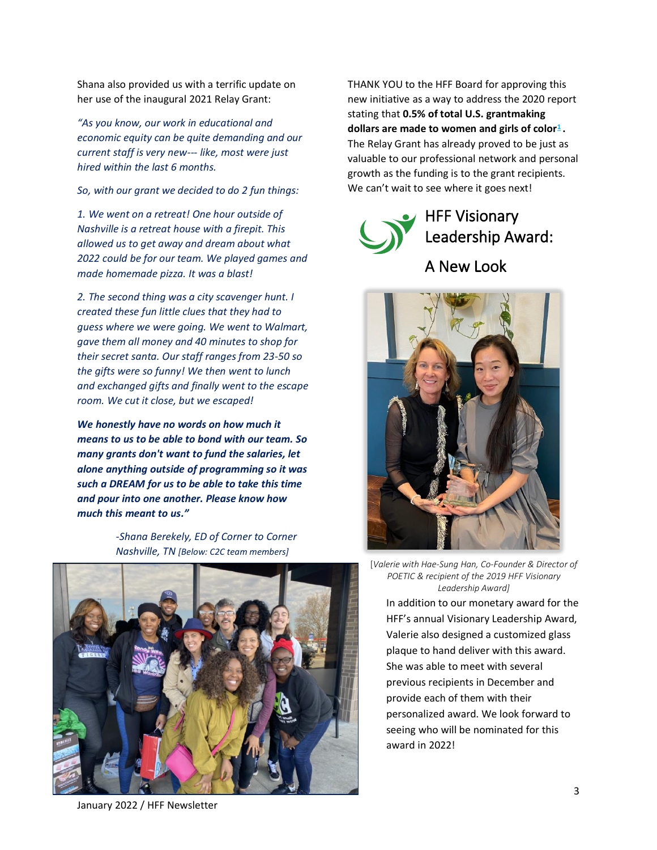Shana also provided us with a terrific update on her use of the inaugural 2021 Relay Grant:

*"As you know, our work in educational and economic equity can be quite demanding and our current staff is very new--- like, most were just hired within the last 6 months.*

*So, with our grant we decided to do 2 fun things:*

*1. We went on a retreat! One hour outside of Nashville is a retreat house with a firepit. This allowed us to get away and dream about what 2022 could be for our team. We played games and made homemade pizza. It was a blast!*

*2. The second thing was a city scavenger hunt. I created these fun little clues that they had to guess where we were going. We went to Walmart, gave them all money and 40 minutes to shop for their secret santa. Our staff ranges from 23-50 so the gifts were so funny! We then went to lunch and exchanged gifts and finally went to the escape room. We cut it close, but we escaped!*

*We honestly have no words on how much it means to us to be able to bond with our team. So many grants don't want to fund the salaries, let alone anything outside of programming so it was such a DREAM for us to be able to take this time and pour into one another. Please know how much this meant to us."*

> *-Shana Berekely, ED of Corner to Corner Nashville, TN [Below: C2C team members]*



THANK YOU to the HFF Board for approving this new initiative as a way to address the 2020 report stating that **0.5% of total U.S. grantmaking dollars are made to women and girls of color[1](https://forwomen.org/resources/pocket-change-report/) .** The Relay Grant has already proved to be just as valuable to our professional network and personal growth as the funding is to the grant recipients. We can't wait to see where it goes next!





[*Valerie with Hae-Sung Han, Co-Founder & Director of POETIC & recipient of the 2019 HFF Visionary Leadership Award]*

In addition to our monetary award for the HFF's annual Visionary Leadership Award, Valerie also designed a customized glass plaque to hand deliver with this award. She was able to meet with several previous recipients in December and provide each of them with their personalized award. We look forward to seeing who will be nominated for this award in 2022!

January 2022 / HFF Newsletter